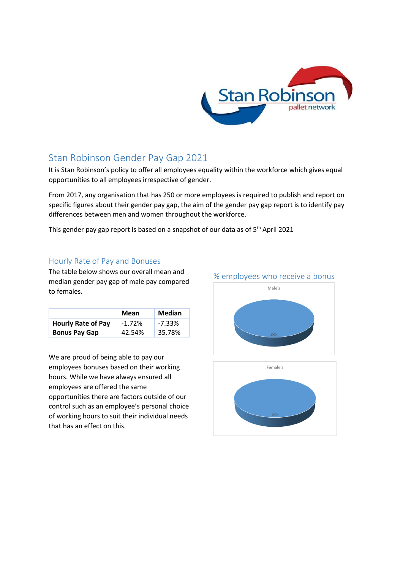

## Stan Robinson Gender Pay Gap 2021

It is Stan Robinson's policy to offer all employees equality within the workforce which gives equal opportunities to all employees irrespective of gender.

From 2017, any organisation that has 250 or more employees is required to publish and report on specific figures about their gender pay gap, the aim of the gender pay gap report is to identify pay differences between men and women throughout the workforce.

This gender pay gap report is based on a snapshot of our data as of  $5<sup>th</sup>$  April 2021

## Hourly Rate of Pay and Bonuses

The table below shows our overall mean and median gender pay gap of male pay compared to females.

|                           | Mean     | <b>Median</b> |
|---------------------------|----------|---------------|
| <b>Hourly Rate of Pay</b> | $-1.72%$ | $-7.33%$      |
| <b>Bonus Pay Gap</b>      | 42.54%   | 35.78%        |

We are proud of being able to pay our employees bonuses based on their working hours. While we have always ensured all employees are offered the same opportunities there are factors outside of our control such as an employee's personal choice of working hours to suit their individual needs that has an effect on this.





## % employees who receive a bonus